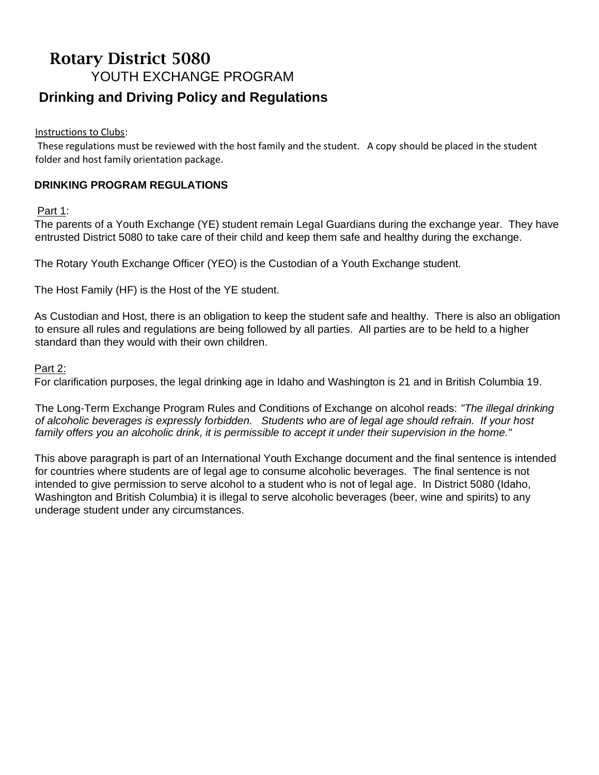# Rotary District 5080 YOUTH EXCHANGE PROGRAM **Drinking and Driving Policy and Regulations**

Instructions to Clubs:

These regulations must be reviewed with the host family and the student. A copy should be placed in the student folder and host family orientation package.

# **DRINKING PROGRAM REGULATIONS**

Part 1:

The parents of a Youth Exchange (YE) student remain Legal Guardians during the exchange year. They have entrusted District 5080 to take care of their child and keep them safe and healthy during the exchange.

The Rotary Youth Exchange Officer (YEO) is the Custodian of a Youth Exchange student.

The Host Family (HF) is the Host of the YE student.

As Custodian and Host, there is an obligation to keep the student safe and healthy. There is also an obligation to ensure all rules and regulations are being followed by all parties. All parties are to be held to a higher standard than they would with their own children.

#### Part 2:

For clarification purposes, the legal drinking age in Idaho and Washington is 21 and in British Columbia 19.

The Long-Term Exchange Program Rules and Conditions of Exchange on alcohol reads: *"The illegal drinking of alcoholic beverages is expressly forbidden. Students who are of legal age should refrain. If your host family offers you an alcoholic drink, it is permissible to accept it under their supervision in the home."* 

This above paragraph is part of an International Youth Exchange document and the final sentence is intended for countries where students are of legal age to consume alcoholic beverages. The final sentence is not intended to give permission to serve alcohol to a student who is not of legal age. In District 5080 (Idaho, Washington and British Columbia) it is illegal to serve alcoholic beverages (beer, wine and spirits) to any underage student under any circumstances.